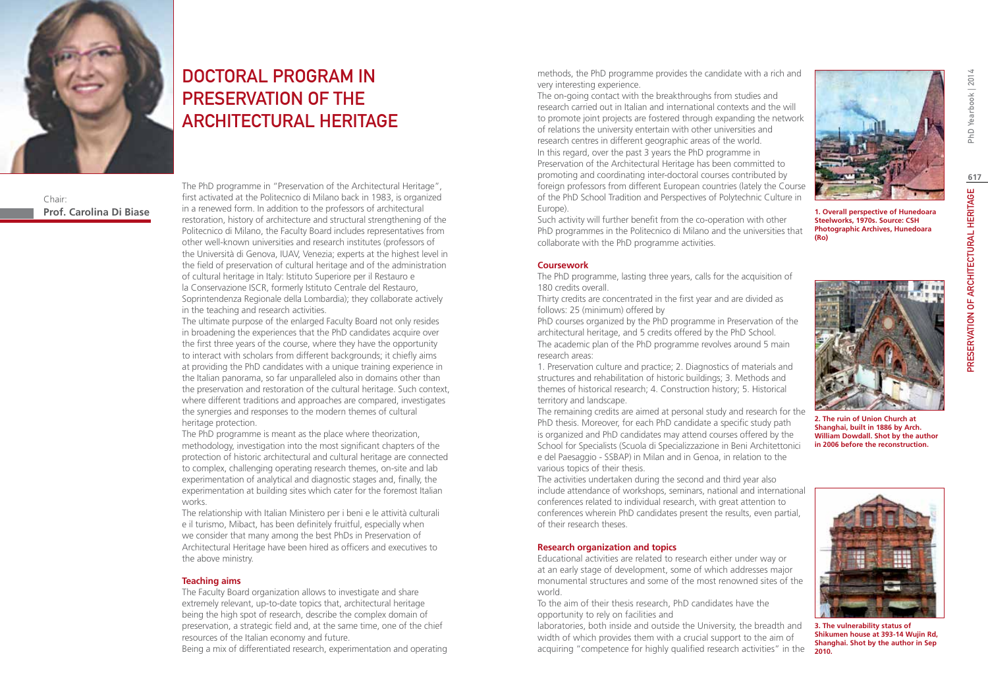

Chair: **Prof. Carolina Di Biase**

# DOCTORAL PROGRAM IN PRESERVATION OF the ARCHITECTURAL HERITAGE

The PhD programme in "Preservation of the Architectural Heritage", first activated at the Politecnico di Milano back in 1983, is organized in a renewed form. In addition to the professors of architectural restoration, history of architecture and structural strengthening of the Politecnico di Milano, the Faculty Board includes representatives from other well-known universities and research institutes (professors of the Università di Genova, IUAV, Venezia; experts at the highest level in the field of preservation of cultural heritage and of the administration of cultural heritage in Italy: Istituto Superiore per il Restauro e la Conservazione ISCR, formerly Istituto Centrale del Restauro, Soprintendenza Regionale della Lombardia); they collaborate actively in the teaching and research activities.

The ultimate purpose of the enlarged Faculty Board not only resides in broadening the experiences that the PhD candidates acquire over the first three years of the course, where they have the opportunity to interact with scholars from different backgrounds; it chiefly aims at providing the PhD candidates with a unique training experience in the Italian panorama, so far unparalleled also in domains other than the preservation and restoration of the cultural heritage. Such context, where different traditions and approaches are compared, investigates the synergies and responses to the modern themes of cultural heritage protection.

The PhD programme is meant as the place where theorization, methodology, investigation into the most significant chapters of the protection of historic architectural and cultural heritage are connected to complex, challenging operating research themes, on-site and lab experimentation of analytical and diagnostic stages and, finally, the experimentation at building sites which cater for the foremost Italian works.

The relationship with Italian Ministero per i beni e le attività culturali e il turismo, Mibact, has been definitely fruitful, especially when we consider that many among the best PhDs in Preservation of Architectural Heritage have been hired as officers and executives to the above ministry.

### **Teaching aims**

The Faculty Board organization allows to investigate and share extremely relevant, up-to-date topics that, architectural heritage being the high spot of research, describe the complex domain of preservation, a strategic field and, at the same time, one of the chief resources of the Italian economy and future.

Being a mix of differentiated research, experimentation and operating

methods, the PhD programme provides the candidate with a rich and very interesting experience.

The on-going contact with the breakthroughs from studies and research carried out in Italian and international contexts and the will to promote joint projects are fostered through expanding the network of relations the university entertain with other universities and research centres in different geographic areas of the world. In this regard, over the past 3 years the PhD programme in Preservation of the Architectural Heritage has been committed to promoting and coordinating inter-doctoral courses contributed by foreign professors from different European countries (lately the Course of the PhD School Tradition and Perspectives of Polytechnic Culture in Europe).

Such activity will further benefit from the co-operation with other PhD programmes in the Politecnico di Milano and the universities that collaborate with the PhD programme activities.

#### **Coursework**

The PhD programme, lasting three years, calls for the acquisition of 180 credits overall.

Thirty credits are concentrated in the first year and are divided as follows: 25 (minimum) offered by

PhD courses organized by the PhD programme in Preservation of the architectural heritage, and 5 credits offered by the PhD School. The academic plan of the PhD programme revolves around 5 main research areas:

1. Preservation culture and practice; 2. Diagnostics of materials and structures and rehabilitation of historic buildings; 3. Methods and themes of historical research; 4. Construction history; 5. Historical territory and landscape.

The remaining credits are aimed at personal study and research for the PhD thesis. Moreover, for each PhD candidate a specific study path is organized and PhD candidates may attend courses offered by the School for Specialists (Scuola di Specializzazione in Beni Architettonici e del Paesaggio - SSBAP) in Milan and in Genoa, in relation to the various topics of their thesis.

The activities undertaken during the second and third year also include attendance of workshops, seminars, national and international conferences related to individual research, with great attention to conferences wherein PhD candidates present the results, even partial, of their research theses.

### **Research organization and topics**

Educational activities are related to research either under way or at an early stage of development, some of which addresses major monumental structures and some of the most renowned sites of the world.

To the aim of their thesis research, PhD candidates have the opportunity to rely on facilities and

laboratories, both inside and outside the University, the breadth and width of which provides them with a crucial support to the aim of acquiring "competence for highly qualified research activities" in the



**1. Overall perspective of Hunedoara Steelworks, 1970s. Source: CSH Photographic Archives, Hunedoara (Ro)**



**2. The ruin of Union Church at Shanghai, built in 1886 by Arch. William Dowdall. Shot by the author in 2006 before the reconstruction.**



**3. The vulnerability status of Shikumen house at 393-14 Wujin Rd, Shanghai. Shot by the author in Sep 2010.**

PhD Yearbook | 2014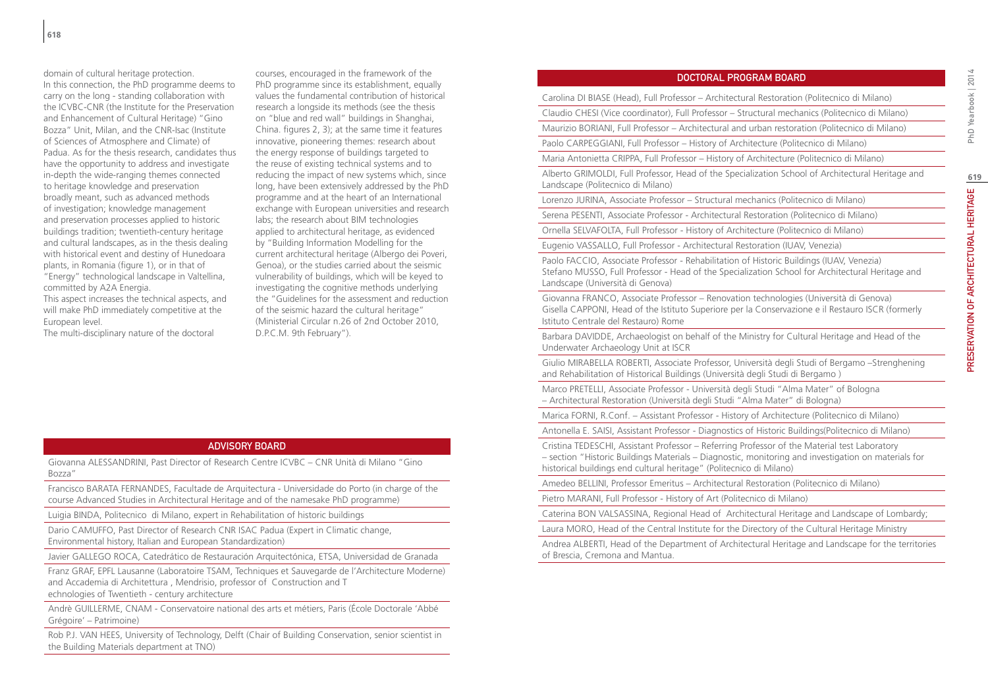domain of cultural heritage protection. In this connection, the PhD programme deems to carry on the long - standing collaboration with the ICVBC-CNR (the Institute for the Preservation and Enhancement of Cultural Heritage) "Gino Bozza" Unit, Milan, and the CNR-Isac (Institute of Sciences of Atmosphere and Climate) of Padua. As for the thesis research, candidates thus have the opportunity to address and investigate in-depth the wide-ranging themes connected to heritage knowledge and preservation broadly meant, such as advanced methods of investigation; knowledge management and preservation processes applied to historic buildings tradition; twentieth-century heritage and cultural landscapes, as in the thesis dealing with historical event and destiny of Hunedoara plants, in Romania (figure 1), or in that of "Energy" technological landscape in Valtellina, committed by A2A Energia.

This aspect increases the technical aspects, and will make PhD immediately competitive at the European level.

The multi-disciplinary nature of the doctoral

courses, encouraged in the framework of the PhD programme since its establishment, equally values the fundamental contribution of historical research a longside its methods (see the thesis on "blue and red wall" buildings in Shanghai, China. figures 2, 3); at the same time it features innovative, pioneering themes: research about the energy response of buildings targeted to the reuse of existing technical systems and to reducing the impact of new systems which, since long, have been extensively addressed by the PhD programme and at the heart of an International exchange with European universities and research labs; the research about BIM technologies applied to architectural heritage, as evidenced by "Building Information Modelling for the current architectural heritage (Albergo dei Poveri, Genoa), or the studies carried about the seismic vulnerability of buildings, which will be keyed to investigating the cognitive methods underlying the "Guidelines for the assessment and reduction of the seismic hazard the cultural heritage" (Ministerial Circular n.26 of 2nd October 2010, D.P.C.M. 9th February").

### Advisory Board

Giovanna ALESSANDRINI, Past Director of Research Centre ICVBC – CNR Unità di Milano "Gino Bozza"

Francisco BARATA FERNANDES, Facultade de Arquitectura - Universidade do Porto (in charge of the course Advanced Studies in Architectural Heritage and of the namesake PhD programme)

Luigia BINDA, Politecnico di Milano, expert in Rehabilitation of historic buildings

Dario CAMUFFO, Past Director of Research CNR ISAC Padua (Expert in Climatic change, Environmental history, Italian and European Standardization)

Javier GALLEGO ROCA, Catedrático de Restauración Arquitectónica, ETSA, Universidad de Granada

Franz GRAF, EPFL Lausanne (Laboratoire TSAM, Techniques et Sauvegarde de l'Architecture Moderne) and Accademia di Architettura , Mendrisio, professor of Construction and T echnologies of Twentieth - century architecture

Andrè GUILLERME, CNAM - Conservatoire national des arts et métiers, Paris (École Doctorale 'Abbé Grégoire' – Patrimoine)

Rob P.J. VAN HEES, University of Technology, Delft (Chair of Building Conservation, senior scientist in the Building Materials department at TNO)

## Doctoral Program Board

Carolina DI BIASE (Head), Full Professor – Architectural Restoration (Politecnico di Milano)

Claudio CHESI (Vice coordinator), Full Professor – Structural mechanics (Politecnico di Milano)

Maurizio BORIANI, Full Professor – Architectural and urban restoration (Politecnico di Milano)

Paolo CARPEGGIANI, Full Professor – History of Architecture (Politecnico di Milano)

Maria Antonietta CRIPPA, Full Professor – History of Architecture (Politecnico di Milano)

Alberto GRIMOLDI, Full Professor, Head of the Specialization School of Architectural Heritage and Landscape (Politecnico di Milano)

Lorenzo JURINA, Associate Professor – Structural mechanics (Politecnico di Milano)

Serena PESENTI, Associate Professor - Architectural Restoration (Politecnico di Milano)

Ornella SELVAFOLTA, Full Professor - History of Architecture (Politecnico di Milano)

Eugenio VASSALLO, Full Professor - Architectural Restoration (IUAV, Venezia)

Paolo FACCIO, Associate Professor - Rehabilitation of Historic Buildings (IUAV, Venezia) Stefano MUSSO, Full Professor - Head of the Specialization School for Architectural Heritage and Landscape (Università di Genova)

Giovanna FRANCO, Associate Professor – Renovation technologies (Università di Genova) Gisella CAPPONI, Head of the Istituto Superiore per la Conservazione e il Restauro ISCR (formerly Istituto Centrale del Restauro) Rome

Barbara DAVIDDE, Archaeologist on behalf of the Ministry for Cultural Heritage and Head of the Underwater Archaeology Unit at ISCR

Giulio MIRABELLA ROBERTI, Associate Professor, Università degli Studi of Bergamo –Strenghening and Rehabilitation of Historical Buildings (Università degli Studi di Bergamo )

Marco PRETELLI, Associate Professor - Università degli Studi "Alma Mater" of Bologna – Architectural Restoration (Università degli Studi "Alma Mater" di Bologna)

Marica FORNI, R.Conf. – Assistant Professor - History of Architecture (Politecnico di Milano)

Antonella E. SAISI, Assistant Professor - Diagnostics of Historic Buildings(Politecnico di Milano)

Cristina TEDESCHI, Assistant Professor – Referring Professor of the Material test Laboratory

– section "Historic Buildings Materials – Diagnostic, monitoring and investigation on materials for historical buildings end cultural heritage" (Politecnico di Milano)

Amedeo BELLINI, Professor Emeritus – Architectural Restoration (Politecnico di Milano)

Pietro MARANI, Full Professor - History of Art (Politecnico di Milano)

Caterina BON VALSASSINA, Regional Head of Architectural Heritage and Landscape of Lombardy;

Laura MORO, Head of the Central Institute for the Directory of the Cultural Heritage Ministry

Andrea ALBERTI, Head of the Department of Architectural Heritage and Landscape for the territories of Brescia, Cremona and Mantua.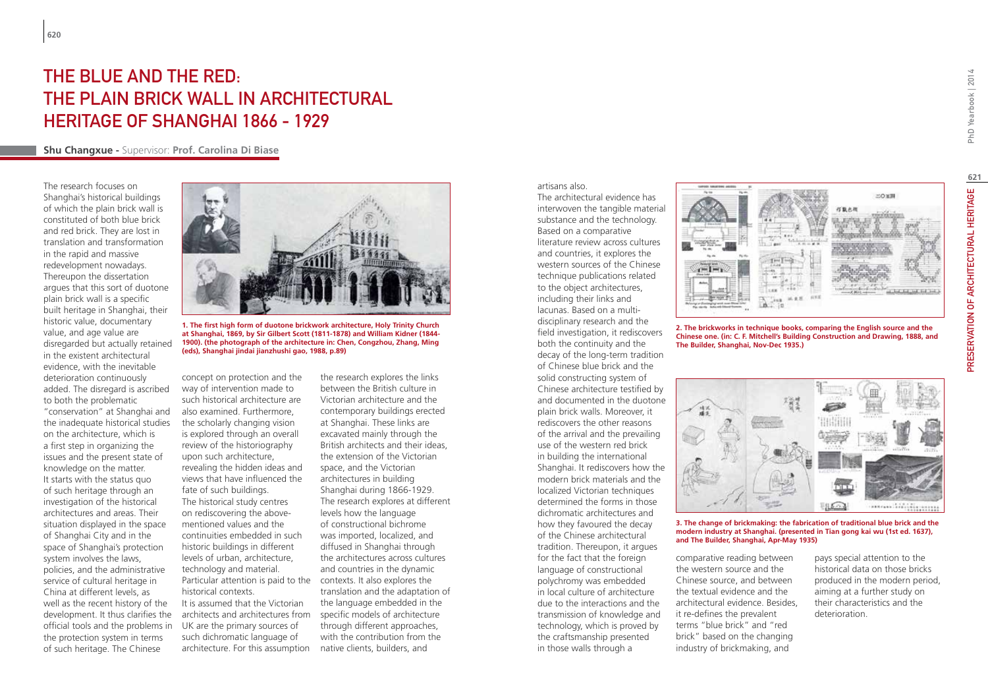# THE BLUE AND THE RED. THE PLAIN BRICK WALL IN ARCHITECTURAL HERITAGE OF SHANGHAI 1866 - 1929

## **Shu Changxue -** Supervisor: **Prof. Carolina Di Biase**

The research focuses on Shanghai's historical buildings of which the plain brick wall is constituted of both blue brick and red brick. They are lost in translation and transformation in the rapid and massive redevelopment nowadays. Thereupon the dissertation argues that this sort of duotone plain brick wall is a specific built heritage in Shanghai, their historic value, documentary value, and age value are disregarded but actually retained in the existent architectural evidence, with the inevitable deterioration continuously added. The disregard is ascribed to both the problematic "conservation" at Shanghai and the inadequate historical studies on the architecture, which is a first step in organizing the issues and the present state of knowledge on the matter. It starts with the status quo of such heritage through an investigation of the historical architectures and areas. Their situation displayed in the space of Shanghai City and in the space of Shanghai's protection system involves the laws, policies, and the administrative service of cultural heritage in China at different levels, as well as the recent history of the development. It thus clarifies the official tools and the problems in the protection system in terms of such heritage. The Chinese



**1. The first high form of duotone brickwork architecture, Holy Trinity Church at Shanghai, 1869, by Sir Gilbert Scott (1811-1878) and William Kidner (1844- 1900). (the photograph of the architecture in: Chen, Congzhou, Zhang, Ming (eds), Shanghai jindai jianzhushi gao, 1988, p.89)**

concept on protection and the way of intervention made to such historical architecture are also examined. Furthermore, the scholarly changing vision is explored through an overall review of the historiography upon such architecture, revealing the hidden ideas and views that have influenced the fate of such buildings. The historical study centres on rediscovering the abovementioned values and the continuities embedded in such historic buildings in different levels of urban, architecture, technology and material. Particular attention is paid to the contexts. It also explores the historical contexts. It is assumed that the Victorian architects and architectures from UK are the primary sources of such dichromatic language of architecture. For this assumption

the research explores the links between the British culture in Victorian architecture and the contemporary buildings erected at Shanghai. These links are excavated mainly through the British architects and their ideas, the extension of the Victorian space, and the Victorian architectures in building Shanghai during 1866-1929. The research explores at different levels how the language of constructional bichrome was imported, localized, and diffused in Shanghai through the architectures across cultures and countries in the dynamic translation and the adaptation of the language embedded in the specific models of architecture through different approaches, with the contribution from the native clients, builders, and

### artisans also.

The architectural evidence has interwoven the tangible material substance and the technology. Based on a comparative literature review across cultures and countries, it explores the western sources of the Chinese technique publications related to the object architectures, including their links and lacunas. Based on a multidisciplinary research and the field investigation, it rediscovers both the continuity and the decay of the long-term tradition of Chinese blue brick and the solid constructing system of Chinese architecture testified by and documented in the duotone plain brick walls. Moreover, it rediscovers the other reasons of the arrival and the prevailing use of the western red brick in building the international Shanghai. It rediscovers how the modern brick materials and the localized Victorian techniques determined the forms in those dichromatic architectures and how they favoured the decay of the Chinese architectural tradition. Thereupon, it argues for the fact that the foreign language of constructional polychromy was embedded in local culture of architecture due to the interactions and the transmission of knowledge and technology, which is proved by the craftsmanship presented in those walls through a



**2. The brickworks in technique books, comparing the English source and the Chinese one. (in: C. F. Mitchell's Building Construction and Drawing, 1888, and The Builder, Shanghai, Nov-Dec 1935.)**



**3. The change of brickmaking: the fabrication of traditional blue brick and the modern industry at Shanghai. (presented in Tian gong kai wu (1st ed. 1637), and The Builder, Shanghai, Apr-May 1935)**

comparative reading between the western source and the Chinese source, and between the textual evidence and the architectural evidence. Besides, it re-defines the prevalent terms "blue brick" and "red brick" based on the changing industry of brickmaking, and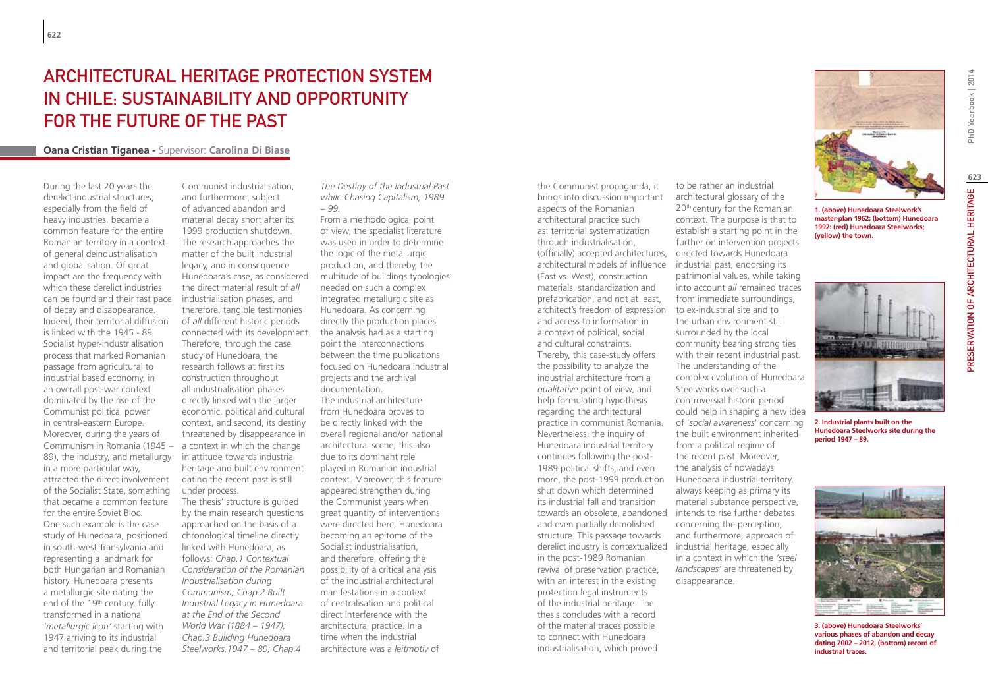## Architectural Heritage Protection System in Chile: Sustainability and Opportunity for the Future of the Past

## **Oana Cristian Tiganea -** Supervisor: **Carolina Di Biase**

During the last 20 years the derelict industrial structures, especially from the field of heavy industries, became a common feature for the entire Romanian territory in a context of general deindustrialisation and globalisation. Of great impact are the frequency with which these derelict industries can be found and their fast pace of decay and disappearance. Indeed, their territorial diffusion is linked with the 1945 - 89 Socialist hyper-industrialisation process that marked Romanian passage from agricultural to industrial based economy, in an overall post-war context dominated by the rise of the Communist political power in central-eastern Europe. Moreover, during the years of Communism in Romania (1945 – 89), the industry, and metallurgy in a more particular way, attracted the direct involvement of the Socialist State, something that became a common feature for the entire Soviet Bloc. One such example is the case study of Hunedoara, positioned in south-west Transylvania and representing a landmark for both Hungarian and Romanian history. Hunedoara presents a metallurgic site dating the end of the 19<sup>th</sup> century, fully transformed in a national *'metallurgic icon'* starting with 1947 arriving to its industrial and territorial peak during the

Communist industrialisation, and furthermore, subject of advanced abandon and material decay short after its 1999 production shutdown. The research approaches the matter of the built industrial legacy, and in consequence Hunedoara's case, as considered the direct material result of *all* industrialisation phases, and therefore, tangible testimonies of *all* different historic periods connected with its development. Therefore, through the case study of Hunedoara, the research follows at first its construction throughout all industrialisation phases directly linked with the larger economic, political and cultural context, and second, its destiny threatened by disappearance in a context in which the change in attitude towards industrial heritage and built environment dating the recent past is still under process. The thesis' structure is guided by the main research questions approached on the basis of a chronological timeline directly

linked with Hunedoara, as follows: *Chap.1 Contextual Consideration of the Romanian Industrialisation during Communism; Chap.2 Built Industrial Legacy in Hunedoara at the End of the Second World War (1884 – 1947); Chap.3 Building Hunedoara Steelworks,1947 – 89; Chap.4* 

*The Destiny of the Industrial Past while Chasing Capitalism, 1989 – 99.*

From a methodological point of view, the specialist literature was used in order to determine the logic of the metallurgic production, and thereby, the multitude of buildings typologies needed on such a complex integrated metallurgic site as Hunedoara. As concerning directly the production places the analysis had as a starting point the interconnections between the time publications focused on Hunedoara industrial projects and the archival documentation. The industrial architecture from Hunedoara proves to be directly linked with the overall regional and/or national architectural scene, this also due to its dominant role played in Romanian industrial context. Moreover, this feature appeared strengthen during the Communist years when great quantity of interventions were directed here, Hunedoara becoming an epitome of the Socialist industrialisation, and therefore, offering the possibility of a critical analysis of the industrial architectural manifestations in a context of centralisation and political direct interference with the architectural practice. In a time when the industrial architecture was a *leitmotiv* of

the Communist propaganda, it brings into discussion important aspects of the Romanian architectural practice such as: territorial systematization through industrialisation, (officially) accepted architectures, directed towards Hunedoara architectural models of influence industrial past, endorsing its (East vs. West), construction materials, standardization and prefabrication, and not at least, architect's freedom of expression and access to information in a context of political, social and cultural constraints. Thereby, this case-study offers the possibility to analyze the industrial architecture from a *qualitative* point of view, and help formulating hypothesis regarding the architectural practice in communist Romania. Nevertheless, the inquiry of Hunedoara industrial territory continues following the post-1989 political shifts, and even more, the post-1999 production shut down which determined its industrial fall and transition towards an obsolete, abandoned intends to rise further debates and even partially demolished structure. This passage towards derelict industry is contextualized industrial heritage, especially in the post-1989 Romanian revival of preservation practice, with an interest in the existing protection legal instruments of the industrial heritage. The thesis concludes with a record of the material traces possible to connect with Hunedoara industrialisation, which proved

to be rather an industrial architectural glossary of the 20th century for the Romanian context. The purpose is that to establish a starting point in the further on intervention projects patrimonial values, while taking into account *all* remained traces from immediate surroundings, to ex-industrial site and to the urban environment still surrounded by the local community bearing strong ties with their recent industrial past. The understanding of the complex evolution of Hunedoara Steelworks over such a controversial historic period could help in shaping a new idea of '*social awareness*' concerning the built environment inherited from a political regime of the recent past. Moreover, the analysis of nowadays Hunedoara industrial territory, always keeping as primary its material substance perspective, concerning the perception, and furthermore, approach of in a context in which the *'steel landscapes'* are threatened by disappearance.

**1. (above) Hunedoara Steelwork's master-plan 1962; (bottom) Hunedoara 1992: (red) Hunedoara Steelworks; (yellow) the town.** 



**2. Industrial plants built on the Hunedoara Steelworks site during the period 1947 – 89.**



**3. (above) Hunedoara Steelworks' various phases of abandon and decay dating 2002 – 2012, (bottom) record of industrial traces.**

**623**